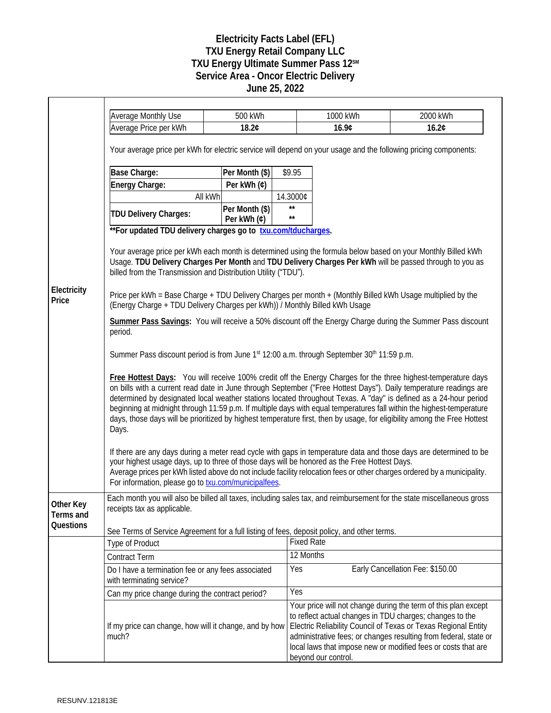## **Electricity Facts Label (EFL) TXU Energy Retail Company LLC TXU Energy Ultimate Summer Pass 12SM Service Area - Oncor Electric Delivery June 25, 2022**

|                        | <b>Average Monthly Use</b><br>Average Price per kWh                                                                                                                                                                                                                                                                                                                                                                                                                                                                                                                                                                  | 500 kWh<br>18.2¢ |                   | 1000 kWh<br>16.9¢   | 2000 kWh<br>16.2¢                                                                                                                                                                                                                                                                                                                 |  |
|------------------------|----------------------------------------------------------------------------------------------------------------------------------------------------------------------------------------------------------------------------------------------------------------------------------------------------------------------------------------------------------------------------------------------------------------------------------------------------------------------------------------------------------------------------------------------------------------------------------------------------------------------|------------------|-------------------|---------------------|-----------------------------------------------------------------------------------------------------------------------------------------------------------------------------------------------------------------------------------------------------------------------------------------------------------------------------------|--|
|                        | Your average price per kWh for electric service will depend on your usage and the following pricing components:                                                                                                                                                                                                                                                                                                                                                                                                                                                                                                      |                  |                   |                     |                                                                                                                                                                                                                                                                                                                                   |  |
|                        | Base Charge:                                                                                                                                                                                                                                                                                                                                                                                                                                                                                                                                                                                                         | Per Month (\$)   | \$9.95            |                     |                                                                                                                                                                                                                                                                                                                                   |  |
|                        | Energy Charge:                                                                                                                                                                                                                                                                                                                                                                                                                                                                                                                                                                                                       | Per kWh (¢)      |                   |                     |                                                                                                                                                                                                                                                                                                                                   |  |
|                        | All kWh                                                                                                                                                                                                                                                                                                                                                                                                                                                                                                                                                                                                              |                  | 14.3000¢          |                     |                                                                                                                                                                                                                                                                                                                                   |  |
|                        |                                                                                                                                                                                                                                                                                                                                                                                                                                                                                                                                                                                                                      | Per Month (\$)   | $\star\star$      |                     |                                                                                                                                                                                                                                                                                                                                   |  |
|                        | <b>TDU Delivery Charges:</b>                                                                                                                                                                                                                                                                                                                                                                                                                                                                                                                                                                                         | Per kWh (¢)      | $\star\star$      |                     |                                                                                                                                                                                                                                                                                                                                   |  |
|                        | ** For updated TDU delivery charges go to txu.com/tducharges.                                                                                                                                                                                                                                                                                                                                                                                                                                                                                                                                                        |                  |                   |                     |                                                                                                                                                                                                                                                                                                                                   |  |
|                        | Your average price per kWh each month is determined using the formula below based on your Monthly Billed kWh<br>Usage. TDU Delivery Charges Per Month and TDU Delivery Charges Per kWh will be passed through to you as<br>billed from the Transmission and Distribution Utility ("TDU").                                                                                                                                                                                                                                                                                                                            |                  |                   |                     |                                                                                                                                                                                                                                                                                                                                   |  |
| Electricity<br>Price   | Price per kWh = Base Charge + TDU Delivery Charges per month + (Monthly Billed kWh Usage multiplied by the<br>(Energy Charge + TDU Delivery Charges per kWh)) / Monthly Billed kWh Usage                                                                                                                                                                                                                                                                                                                                                                                                                             |                  |                   |                     |                                                                                                                                                                                                                                                                                                                                   |  |
|                        | Summer Pass Savings: You will receive a 50% discount off the Energy Charge during the Summer Pass discount<br>period.                                                                                                                                                                                                                                                                                                                                                                                                                                                                                                |                  |                   |                     |                                                                                                                                                                                                                                                                                                                                   |  |
|                        | Summer Pass discount period is from June 1st 12:00 a.m. through September 30th 11:59 p.m.                                                                                                                                                                                                                                                                                                                                                                                                                                                                                                                            |                  |                   |                     |                                                                                                                                                                                                                                                                                                                                   |  |
|                        | Free Hottest Days: You will receive 100% credit off the Energy Charges for the three highest-temperature days<br>on bills with a current read date in June through September ("Free Hottest Days"). Daily temperature readings are<br>determined by designated local weather stations located throughout Texas. A "day" is defined as a 24-hour period<br>beginning at midnight through 11:59 p.m. If multiple days with equal temperatures fall within the highest-temperature<br>days, those days will be prioritized by highest temperature first, then by usage, for eligibility among the Free Hottest<br>Days. |                  |                   |                     |                                                                                                                                                                                                                                                                                                                                   |  |
|                        | If there are any days during a meter read cycle with gaps in temperature data and those days are determined to be<br>your highest usage days, up to three of those days will be honored as the Free Hottest Days.<br>Average prices per kWh listed above do not include facility relocation fees or other charges ordered by a municipality.<br>For information, please go to <b>txu.com/municipalfees</b> .                                                                                                                                                                                                         |                  |                   |                     |                                                                                                                                                                                                                                                                                                                                   |  |
| Other Key<br>Terms and | Each month you will also be billed all taxes, including sales tax, and reimbursement for the state miscellaneous gross<br>receipts tax as applicable.                                                                                                                                                                                                                                                                                                                                                                                                                                                                |                  |                   |                     |                                                                                                                                                                                                                                                                                                                                   |  |
| Questions              | See Terms of Service Agreement for a full listing of fees, deposit policy, and other terms.                                                                                                                                                                                                                                                                                                                                                                                                                                                                                                                          |                  |                   |                     |                                                                                                                                                                                                                                                                                                                                   |  |
|                        | <b>Type of Product</b>                                                                                                                                                                                                                                                                                                                                                                                                                                                                                                                                                                                               |                  | <b>Fixed Rate</b> |                     |                                                                                                                                                                                                                                                                                                                                   |  |
|                        | <b>Contract Term</b>                                                                                                                                                                                                                                                                                                                                                                                                                                                                                                                                                                                                 |                  | 12 Months         |                     |                                                                                                                                                                                                                                                                                                                                   |  |
|                        | Do I have a termination fee or any fees associated<br>with terminating service?                                                                                                                                                                                                                                                                                                                                                                                                                                                                                                                                      |                  | Yes               |                     | Early Cancellation Fee: \$150.00                                                                                                                                                                                                                                                                                                  |  |
|                        | Can my price change during the contract period?                                                                                                                                                                                                                                                                                                                                                                                                                                                                                                                                                                      |                  | <b>Yes</b>        |                     |                                                                                                                                                                                                                                                                                                                                   |  |
|                        | If my price can change, how will it change, and by how<br>much?                                                                                                                                                                                                                                                                                                                                                                                                                                                                                                                                                      |                  |                   | beyond our control. | Your price will not change during the term of this plan except<br>to reflect actual changes in TDU charges; changes to the<br>Electric Reliability Council of Texas or Texas Regional Entity<br>administrative fees; or changes resulting from federal, state or<br>local laws that impose new or modified fees or costs that are |  |